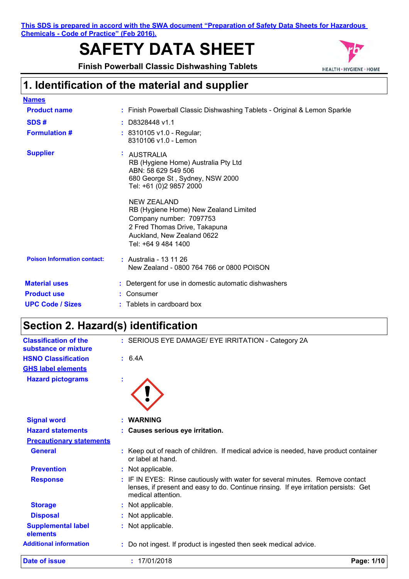**This SDS is prepared in accord with the SWA document "Preparation of Safety Data Sheets for Hazardous Chemicals - Code of Practice" (Feb 2016).**

# **SAFETY DATA SHEET**

**Finish Powerball Classic Dishwashing Tablets**



### **1. Identification of the material and supplier**

| <b>Names</b>                       |                                                                                                                                                                                                                                                                                                                      |  |
|------------------------------------|----------------------------------------------------------------------------------------------------------------------------------------------------------------------------------------------------------------------------------------------------------------------------------------------------------------------|--|
| <b>Product name</b>                | : Finish Powerball Classic Dishwashing Tablets - Original & Lemon Sparkle                                                                                                                                                                                                                                            |  |
| SDS#                               | $:$ D8328448 v1.1                                                                                                                                                                                                                                                                                                    |  |
| <b>Formulation #</b>               | : 8310105 v1.0 - Regular;<br>8310106 v1.0 - Lemon                                                                                                                                                                                                                                                                    |  |
| <b>Supplier</b>                    | ÷.<br>AUSTRALIA<br>RB (Hygiene Home) Australia Pty Ltd<br>ABN: 58 629 549 506<br>680 George St, Sydney, NSW 2000<br>Tel: +61 (0)2 9857 2000<br>NEW ZEALAND<br>RB (Hygiene Home) New Zealand Limited<br>Company number: 7097753<br>2 Fred Thomas Drive, Takapuna<br>Auckland, New Zealand 0622<br>Tel: +64 9 484 1400 |  |
| <b>Poison Information contact:</b> | : Australia - 13 11 26<br>New Zealand - 0800 764 766 or 0800 POISON                                                                                                                                                                                                                                                  |  |
| <b>Material uses</b>               | : Detergent for use in domestic automatic dishwashers                                                                                                                                                                                                                                                                |  |
| <b>Product use</b>                 | Consumer                                                                                                                                                                                                                                                                                                             |  |
| <b>UPC Code / Sizes</b>            | : Tablets in cardboard box                                                                                                                                                                                                                                                                                           |  |

### **Section 2. Hazard(s) identification**

| <b>Classification of the</b><br>substance or mixture | : SERIOUS EYE DAMAGE/ EYE IRRITATION - Category 2A                                                                                                                                        |
|------------------------------------------------------|-------------------------------------------------------------------------------------------------------------------------------------------------------------------------------------------|
| <b>HSNO Classification</b>                           | : 6.4A                                                                                                                                                                                    |
| <b>GHS label elements</b>                            |                                                                                                                                                                                           |
| <b>Hazard pictograms</b>                             | ÷                                                                                                                                                                                         |
|                                                      |                                                                                                                                                                                           |
| <b>Signal word</b>                                   | <b>WARNING</b>                                                                                                                                                                            |
| <b>Hazard statements</b>                             | : Causes serious eye irritation.                                                                                                                                                          |
| <b>Precautionary statements</b>                      |                                                                                                                                                                                           |
| <b>General</b>                                       | Keep out of reach of children. If medical advice is needed, have product container<br>or label at hand.                                                                                   |
| <b>Prevention</b>                                    | : Not applicable.                                                                                                                                                                         |
| <b>Response</b>                                      | IF IN EYES: Rinse cautiously with water for several minutes. Remove contact<br>lenses, if present and easy to do. Continue rinsing. If eye irritation persists: Get<br>medical attention. |
| <b>Storage</b>                                       | Not applicable.                                                                                                                                                                           |
| <b>Disposal</b>                                      | Not applicable.                                                                                                                                                                           |
| <b>Supplemental label</b><br>elements                | Not applicable.                                                                                                                                                                           |
| <b>Additional information</b>                        | Do not ingest. If product is ingested then seek medical advice.                                                                                                                           |
| Date of issue                                        | : 17/01/2018<br>Page: 1/10                                                                                                                                                                |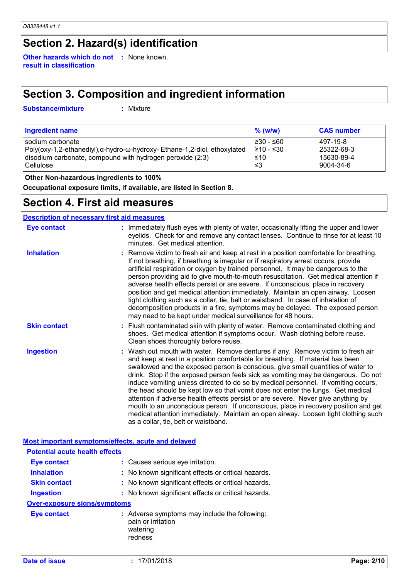### **Section 2. Hazard(s) identification**

**Other hazards which do not :** None known. **result in classification**

### **Section 3. Composition and ingredient information**

**Substance/mixture :**

: Mixture

| <b>Ingredient name</b>                                                   | $\%$ (w/w) | <b>CAS number</b> |
|--------------------------------------------------------------------------|------------|-------------------|
| I sodium carbonate                                                       | 1≥30 - ≤60 | 497-19-8          |
| Poly(oxy-1,2-ethanediyl),α-hydro-ω-hydroxy- Ethane-1,2-diol, ethoxylated | 1≥10 - ≤30 | 25322-68-3        |
| disodium carbonate, compound with hydrogen peroxide (2:3)                | $\leq 10$  | 15630-89-4        |
| <b>Cellulose</b>                                                         | ا≤3        | 9004-34-6         |

 **Other Non-hazardous ingredients to 100%**

**Occupational exposure limits, if available, are listed in Section 8.**

### **Section 4. First aid measures**

| <b>Description of necessary first aid measures</b> |                                                                                                                                                                                                                                                                                                                                                                                                                                                                                                                                                                                                                                                                                                                                                                                                                              |  |
|----------------------------------------------------|------------------------------------------------------------------------------------------------------------------------------------------------------------------------------------------------------------------------------------------------------------------------------------------------------------------------------------------------------------------------------------------------------------------------------------------------------------------------------------------------------------------------------------------------------------------------------------------------------------------------------------------------------------------------------------------------------------------------------------------------------------------------------------------------------------------------------|--|
| <b>Eye contact</b>                                 | : Immediately flush eyes with plenty of water, occasionally lifting the upper and lower<br>eyelids. Check for and remove any contact lenses. Continue to rinse for at least 10<br>minutes. Get medical attention.                                                                                                                                                                                                                                                                                                                                                                                                                                                                                                                                                                                                            |  |
| <b>Inhalation</b>                                  | : Remove victim to fresh air and keep at rest in a position comfortable for breathing.<br>If not breathing, if breathing is irregular or if respiratory arrest occurs, provide<br>artificial respiration or oxygen by trained personnel. It may be dangerous to the<br>person providing aid to give mouth-to-mouth resuscitation. Get medical attention if<br>adverse health effects persist or are severe. If unconscious, place in recovery<br>position and get medical attention immediately. Maintain an open airway. Loosen<br>tight clothing such as a collar, tie, belt or waistband. In case of inhalation of<br>decomposition products in a fire, symptoms may be delayed. The exposed person<br>may need to be kept under medical surveillance for 48 hours.                                                       |  |
| <b>Skin contact</b>                                | : Flush contaminated skin with plenty of water. Remove contaminated clothing and<br>shoes. Get medical attention if symptoms occur. Wash clothing before reuse.<br>Clean shoes thoroughly before reuse.                                                                                                                                                                                                                                                                                                                                                                                                                                                                                                                                                                                                                      |  |
| <b>Ingestion</b>                                   | : Wash out mouth with water. Remove dentures if any. Remove victim to fresh air<br>and keep at rest in a position comfortable for breathing. If material has been<br>swallowed and the exposed person is conscious, give small quantities of water to<br>drink. Stop if the exposed person feels sick as vomiting may be dangerous. Do not<br>induce vomiting unless directed to do so by medical personnel. If vomiting occurs,<br>the head should be kept low so that vomit does not enter the lungs. Get medical<br>attention if adverse health effects persist or are severe. Never give anything by<br>mouth to an unconscious person. If unconscious, place in recovery position and get<br>medical attention immediately. Maintain an open airway. Loosen tight clothing such<br>as a collar, tie, belt or waistband. |  |

#### **Most important symptoms/effects, acute and delayed**

| <b>Potential acute health effects</b> |                                                                                            |
|---------------------------------------|--------------------------------------------------------------------------------------------|
| Eye contact                           | : Causes serious eye irritation.                                                           |
| <b>Inhalation</b>                     | : No known significant effects or critical hazards.                                        |
| <b>Skin contact</b>                   | : No known significant effects or critical hazards.                                        |
| <b>Ingestion</b>                      | : No known significant effects or critical hazards.                                        |
| <b>Over-exposure signs/symptoms</b>   |                                                                                            |
| <b>Eye contact</b>                    | : Adverse symptoms may include the following:<br>pain or irritation<br>watering<br>redness |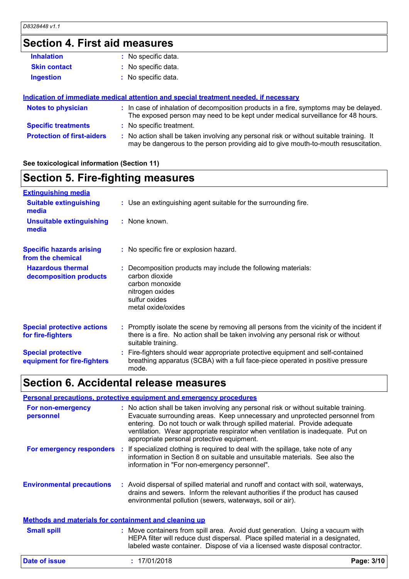### **Section 4. First aid measures**

| <b>Inhalation</b>                 | : No specific data.                                                                                                                                                           |
|-----------------------------------|-------------------------------------------------------------------------------------------------------------------------------------------------------------------------------|
| <b>Skin contact</b>               | : No specific data.                                                                                                                                                           |
| <b>Ingestion</b>                  | : No specific data.                                                                                                                                                           |
|                                   | Indication of immediate medical attention and special treatment needed, if necessary                                                                                          |
| <b>Notes to physician</b>         | : In case of inhalation of decomposition products in a fire, symptoms may be delayed.<br>The exposed person may need to be kept under medical surveillance for 48 hours.      |
| <b>Specific treatments</b>        | : No specific treatment.                                                                                                                                                      |
| <b>Protection of first-aiders</b> | : No action shall be taken involving any personal risk or without suitable training. It<br>may be dangerous to the person providing aid to give mouth-to-mouth resuscitation. |

#### **See toxicological information (Section 11)**

### **Section 5. Fire-fighting measures**

| <b>Extinguishing media</b>                               |                                                                                                                                                                                                     |
|----------------------------------------------------------|-----------------------------------------------------------------------------------------------------------------------------------------------------------------------------------------------------|
| <b>Suitable extinguishing</b><br>media                   | : Use an extinguishing agent suitable for the surrounding fire.                                                                                                                                     |
| <b>Unsuitable extinguishing</b><br>media                 | : None known.                                                                                                                                                                                       |
| <b>Specific hazards arising</b><br>from the chemical     | : No specific fire or explosion hazard.                                                                                                                                                             |
| <b>Hazardous thermal</b><br>decomposition products       | : Decomposition products may include the following materials:<br>carbon dioxide<br>carbon monoxide<br>nitrogen oxides<br>sulfur oxides<br>metal oxide/oxides                                        |
| <b>Special protective actions</b><br>for fire-fighters   | : Promptly isolate the scene by removing all persons from the vicinity of the incident if<br>there is a fire. No action shall be taken involving any personal risk or without<br>suitable training. |
| <b>Special protective</b><br>equipment for fire-fighters | : Fire-fighters should wear appropriate protective equipment and self-contained<br>breathing apparatus (SCBA) with a full face-piece operated in positive pressure<br>mode.                         |

### **Section 6. Accidental release measures**

#### **Environmental precautions Personal precautions, protective equipment and emergency procedures :** Avoid dispersal of spilled material and runoff and contact with soil, waterways, **:** No action shall be taken involving any personal risk or without suitable training. Evacuate surrounding areas. Keep unnecessary and unprotected personnel from entering. Do not touch or walk through spilled material. Provide adequate ventilation. Wear appropriate respirator when ventilation is inadequate. Put on appropriate personal protective equipment. drains and sewers. Inform the relevant authorities if the product has caused environmental pollution (sewers, waterways, soil or air). Move containers from spill area. Avoid dust generation. Using a vacuum with HEPA filter will reduce dust dispersal. Place spilled material in a designated, labeled waste container. Dispose of via a licensed waste disposal contractor. **Small spill : Methods and materials for containment and cleaning up For non-emergency personnel For emergency responders** : If specialized clothing is required to deal with the spillage, take note of any information in Section 8 on suitable and unsuitable materials. See also the information in "For non-emergency personnel".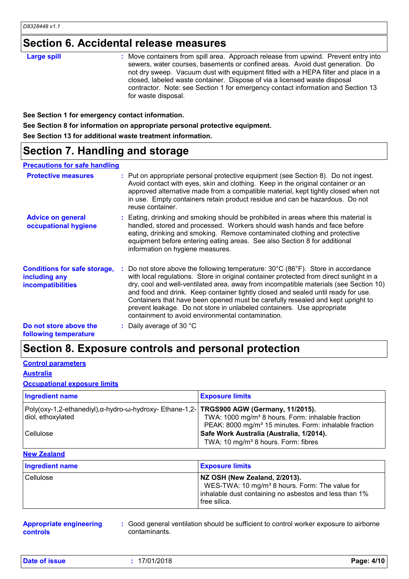### **Section 6. Accidental release measures**

| : Move containers from spill area. Approach release from upwind. Prevent entry into<br><b>Large spill</b><br>sewers, water courses, basements or confined areas. Avoid dust generation. Do<br>not dry sweep. Vacuum dust with equipment fitted with a HEPA filter and place in a<br>closed, labeled waste container. Dispose of via a licensed waste disposal<br>contractor. Note: see Section 1 for emergency contact information and Section 13<br>for waste disposal. |
|--------------------------------------------------------------------------------------------------------------------------------------------------------------------------------------------------------------------------------------------------------------------------------------------------------------------------------------------------------------------------------------------------------------------------------------------------------------------------|
|--------------------------------------------------------------------------------------------------------------------------------------------------------------------------------------------------------------------------------------------------------------------------------------------------------------------------------------------------------------------------------------------------------------------------------------------------------------------------|

**See Section 1 for emergency contact information.**

**See Section 8 for information on appropriate personal protective equipment.**

**See Section 13 for additional waste treatment information.**

### **Section 7. Handling and storage**

#### **Precautions for safe handling**

| <b>Protective measures</b>                                                       | : Put on appropriate personal protective equipment (see Section 8). Do not ingest.<br>Avoid contact with eyes, skin and clothing. Keep in the original container or an<br>approved alternative made from a compatible material, kept tightly closed when not<br>in use. Empty containers retain product residue and can be hazardous. Do not<br>reuse container.                                                                                                                                                                                                                                 |
|----------------------------------------------------------------------------------|--------------------------------------------------------------------------------------------------------------------------------------------------------------------------------------------------------------------------------------------------------------------------------------------------------------------------------------------------------------------------------------------------------------------------------------------------------------------------------------------------------------------------------------------------------------------------------------------------|
| <b>Advice on general</b><br>occupational hygiene                                 | : Eating, drinking and smoking should be prohibited in areas where this material is<br>handled, stored and processed. Workers should wash hands and face before<br>eating, drinking and smoking. Remove contaminated clothing and protective<br>equipment before entering eating areas. See also Section 8 for additional<br>information on hygiene measures.                                                                                                                                                                                                                                    |
| <b>Conditions for safe storage,</b><br>including any<br><b>incompatibilities</b> | : Do not store above the following temperature: $30^{\circ}$ C (86 $^{\circ}$ F). Store in accordance<br>with local regulations. Store in original container protected from direct sunlight in a<br>dry, cool and well-ventilated area, away from incompatible materials (see Section 10)<br>and food and drink. Keep container tightly closed and sealed until ready for use.<br>Containers that have been opened must be carefully resealed and kept upright to<br>prevent leakage. Do not store in unlabeled containers. Use appropriate<br>containment to avoid environmental contamination. |
| Do not store above the<br>following temperature                                  | : Daily average of 30 $^{\circ}$ C                                                                                                                                                                                                                                                                                                                                                                                                                                                                                                                                                               |

### **Section 8. Exposure controls and personal protection**

#### **Control parameters**

#### **Australia**

#### **Occupational exposure limits**

| <b>Ingredient name</b>                                                                                        | <b>Exposure limits</b>                                                                                                             |
|---------------------------------------------------------------------------------------------------------------|------------------------------------------------------------------------------------------------------------------------------------|
| Poly(oxy-1,2-ethanediyl),α-hydro-ω-hydroxy- Ethane-1,2-  TRGS900 AGW (Germany, 11/2015).<br>diol, ethoxylated | TWA: 1000 mg/m <sup>3</sup> 8 hours. Form: inhalable fraction<br>PEAK: 8000 mg/m <sup>3</sup> 15 minutes. Form: inhalable fraction |
| l Cellulose                                                                                                   | Safe Work Australia (Australia, 1/2014).<br>TWA: 10 mg/m <sup>3</sup> 8 hours. Form: fibres                                        |

#### **New Zealand**

| Ingredient name | <b>Exposure limits</b>                                                                                                                                                  |
|-----------------|-------------------------------------------------------------------------------------------------------------------------------------------------------------------------|
| Cellulose       | NZ OSH (New Zealand, 2/2013).<br>WES-TWA: 10 mg/m <sup>3</sup> 8 hours. Form: The value for<br>inhalable dust containing no asbestos and less than 1%<br>l free silica. |

| <b>Appropriate engineering</b> |  |
|--------------------------------|--|
| controls                       |  |

**:** Good general ventilation should be sufficient to control worker exposure to airborne contaminants.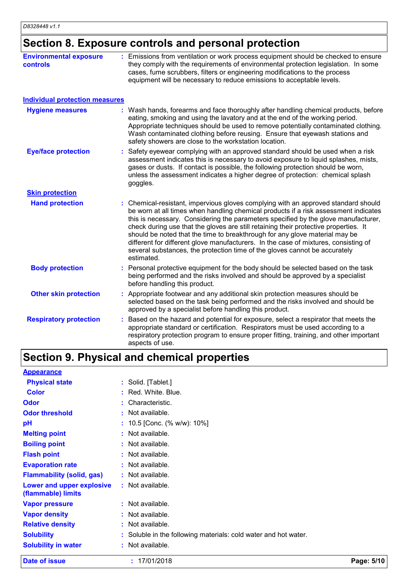# **Section 8. Exposure controls and personal protection**

| <b>Environmental exposure</b><br>controls | : Emissions from ventilation or work process equipment should be checked to ensure<br>they comply with the requirements of environmental protection legislation. In some<br>cases, fume scrubbers, filters or engineering modifications to the process<br>equipment will be necessary to reduce emissions to acceptable levels.                                                                                                                                                                                                                                                                                           |
|-------------------------------------------|---------------------------------------------------------------------------------------------------------------------------------------------------------------------------------------------------------------------------------------------------------------------------------------------------------------------------------------------------------------------------------------------------------------------------------------------------------------------------------------------------------------------------------------------------------------------------------------------------------------------------|
| <b>Individual protection measures</b>     |                                                                                                                                                                                                                                                                                                                                                                                                                                                                                                                                                                                                                           |
| <b>Hygiene measures</b>                   | : Wash hands, forearms and face thoroughly after handling chemical products, before<br>eating, smoking and using the lavatory and at the end of the working period.<br>Appropriate techniques should be used to remove potentially contaminated clothing.<br>Wash contaminated clothing before reusing. Ensure that eyewash stations and<br>safety showers are close to the workstation location.                                                                                                                                                                                                                         |
| <b>Eye/face protection</b>                | Safety eyewear complying with an approved standard should be used when a risk<br>assessment indicates this is necessary to avoid exposure to liquid splashes, mists,<br>gases or dusts. If contact is possible, the following protection should be worn,<br>unless the assessment indicates a higher degree of protection: chemical splash<br>goggles.                                                                                                                                                                                                                                                                    |
| <b>Skin protection</b>                    |                                                                                                                                                                                                                                                                                                                                                                                                                                                                                                                                                                                                                           |
| <b>Hand protection</b>                    | : Chemical-resistant, impervious gloves complying with an approved standard should<br>be worn at all times when handling chemical products if a risk assessment indicates<br>this is necessary. Considering the parameters specified by the glove manufacturer,<br>check during use that the gloves are still retaining their protective properties. It<br>should be noted that the time to breakthrough for any glove material may be<br>different for different glove manufacturers. In the case of mixtures, consisting of<br>several substances, the protection time of the gloves cannot be accurately<br>estimated. |
| <b>Body protection</b>                    | : Personal protective equipment for the body should be selected based on the task<br>being performed and the risks involved and should be approved by a specialist<br>before handling this product.                                                                                                                                                                                                                                                                                                                                                                                                                       |
| <b>Other skin protection</b>              | : Appropriate footwear and any additional skin protection measures should be<br>selected based on the task being performed and the risks involved and should be<br>approved by a specialist before handling this product.                                                                                                                                                                                                                                                                                                                                                                                                 |
| <b>Respiratory protection</b>             | Based on the hazard and potential for exposure, select a respirator that meets the<br>appropriate standard or certification. Respirators must be used according to a<br>respiratory protection program to ensure proper fitting, training, and other important<br>aspects of use.                                                                                                                                                                                                                                                                                                                                         |

# **Section 9. Physical and chemical properties**

| Date of issue                                   | : 17/01/2018                                                    | Page: 5/10 |
|-------------------------------------------------|-----------------------------------------------------------------|------------|
| <b>Solubility in water</b>                      | : Not available.                                                |            |
| <b>Solubility</b>                               | : Soluble in the following materials: cold water and hot water. |            |
| <b>Relative density</b>                         | : Not available.                                                |            |
| <b>Vapor density</b>                            | : Not available.                                                |            |
| <b>Vapor pressure</b>                           | : Not available.                                                |            |
| Lower and upper explosive<br>(flammable) limits | : Not available.                                                |            |
| <b>Flammability (solid, gas)</b>                | : Not available.                                                |            |
| <b>Evaporation rate</b>                         | $:$ Not available.                                              |            |
| <b>Flash point</b>                              | : Not available.                                                |            |
| <b>Boiling point</b>                            | : Not available.                                                |            |
| <b>Melting point</b>                            | : Not available.                                                |            |
| pH                                              | : $10.5$ [Conc. (% w/w): $10\%$ ]                               |            |
| <b>Odor threshold</b>                           | : Not available.                                                |            |
| <b>Odor</b>                                     | : Characteristic.                                               |            |
| <b>Color</b>                                    | : Red. White. Blue.                                             |            |
| <b>Physical state</b>                           | : Solid. [Tablet.]                                              |            |
| <b>Appearance</b>                               |                                                                 |            |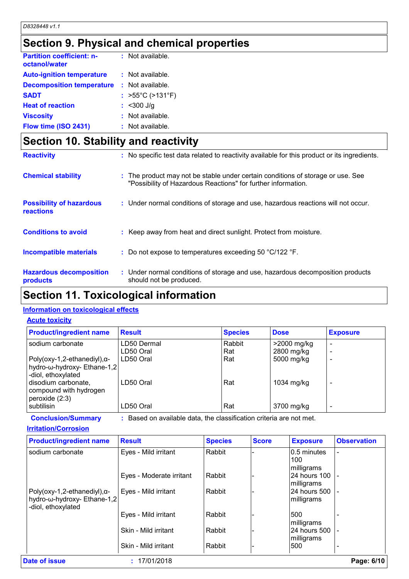### **Section 9. Physical and chemical properties**

| <b>Partition coefficient: n-</b><br>octanol/water | : Not available.                      |
|---------------------------------------------------|---------------------------------------|
| <b>Auto-ignition temperature</b>                  | : Not available.                      |
| <b>Decomposition temperature</b>                  | : Not available.                      |
| <b>SADT</b>                                       | : $>55^{\circ}$ C ( $>131^{\circ}$ F) |
| <b>Heat of reaction</b>                           | $:$ <300 J/g                          |
| <b>Viscosity</b>                                  | : Not available.                      |
| Flow time (ISO 2431)                              | : Not available.                      |

## **Section 10. Stability and reactivity**

| <b>Reactivity</b>                            | : No specific test data related to reactivity available for this product or its ingredients.                                                     |
|----------------------------------------------|--------------------------------------------------------------------------------------------------------------------------------------------------|
| <b>Chemical stability</b>                    | : The product may not be stable under certain conditions of storage or use. See<br>"Possibility of Hazardous Reactions" for further information. |
| <b>Possibility of hazardous</b><br>reactions | : Under normal conditions of storage and use, hazardous reactions will not occur.                                                                |
| <b>Conditions to avoid</b>                   | : Keep away from heat and direct sunlight. Protect from moisture.                                                                                |
| Incompatible materials                       | : Do not expose to temperatures exceeding 50 $^{\circ}$ C/122 $^{\circ}$ F.                                                                      |
| <b>Hazardous decomposition</b><br>products   | : Under normal conditions of storage and use, hazardous decomposition products<br>should not be produced.                                        |

### **Section 11. Toxicological information**

#### **Information on toxicological effects**

#### **Acute toxicity**

| <b>Product/ingredient name</b>                                                          | <b>Result</b>            | <b>Species</b> | <b>Dose</b>               | <b>Exposure</b> |
|-----------------------------------------------------------------------------------------|--------------------------|----------------|---------------------------|-----------------|
| sodium carbonate                                                                        | LD50 Dermal<br>LD50 Oral | Rabbit<br>Rat  | >2000 mg/kg<br>2800 mg/kg |                 |
| $Poly(oxy-1, 2-ethanedyl),\alpha-$<br>hydro-ω-hydroxy- Ethane-1,2<br>-diol, ethoxylated | LD50 Oral                | Rat            | 5000 mg/kg                |                 |
| disodium carbonate,<br>compound with hydrogen<br>peroxide $(2:3)$                       | LD50 Oral                | Rat            | 1034 mg/kg                |                 |
| subtilisin                                                                              | LD50 Oral                | Rat            | 3700 mg/kg                |                 |

**Conclusion/Summary :** Based on available data, the classification criteria are not met.

#### **Irritation/Corrosion**

| <b>Product/ingredient name</b>                                                            | <b>Result</b>            | <b>Species</b> | <b>Score</b> | <b>Exposure</b>                  | <b>Observation</b> |
|-------------------------------------------------------------------------------------------|--------------------------|----------------|--------------|----------------------------------|--------------------|
| sodium carbonate                                                                          | Eyes - Mild irritant     | Rabbit         |              | 0.5 minutes<br>100<br>milligrams |                    |
|                                                                                           | Eyes - Moderate irritant | Rabbit         |              | 24 hours 100<br>milligrams       |                    |
| Poly(oxy-1,2-ethanediyl), $\alpha$ -<br>hydro-ω-hydroxy- Ethane-1,2<br>-diol, ethoxylated | Eyes - Mild irritant     | Rabbit         |              | 24 hours 500<br>milligrams       |                    |
|                                                                                           | Eyes - Mild irritant     | Rabbit         |              | 500<br>milligrams                |                    |
|                                                                                           | Skin - Mild irritant     | Rabbit         |              | 124 hours 500<br>milligrams      |                    |
|                                                                                           | Skin - Mild irritant     | Rabbit         |              | 500                              |                    |
| Date of issue                                                                             | : 17/01/2018             |                |              |                                  | Page: 6/10         |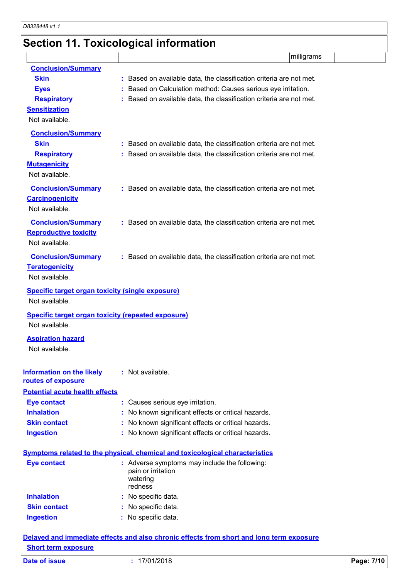# **Section 11. Toxicological information**

|                                                                                          |                                                                     |  | milligrams |  |
|------------------------------------------------------------------------------------------|---------------------------------------------------------------------|--|------------|--|
| <b>Conclusion/Summary</b>                                                                |                                                                     |  |            |  |
| <b>Skin</b>                                                                              | Based on available data, the classification criteria are not met.   |  |            |  |
| <b>Eyes</b>                                                                              | Based on Calculation method: Causes serious eye irritation.         |  |            |  |
| <b>Respiratory</b>                                                                       | Based on available data, the classification criteria are not met.   |  |            |  |
| <b>Sensitization</b>                                                                     |                                                                     |  |            |  |
| Not available.                                                                           |                                                                     |  |            |  |
| <b>Conclusion/Summary</b>                                                                |                                                                     |  |            |  |
| <b>Skin</b>                                                                              | : Based on available data, the classification criteria are not met. |  |            |  |
| <b>Respiratory</b>                                                                       | Based on available data, the classification criteria are not met.   |  |            |  |
| <b>Mutagenicity</b>                                                                      |                                                                     |  |            |  |
| Not available.                                                                           |                                                                     |  |            |  |
| <b>Conclusion/Summary</b>                                                                | : Based on available data, the classification criteria are not met. |  |            |  |
| <b>Carcinogenicity</b>                                                                   |                                                                     |  |            |  |
| Not available.                                                                           |                                                                     |  |            |  |
| <b>Conclusion/Summary</b>                                                                | : Based on available data, the classification criteria are not met. |  |            |  |
| <b>Reproductive toxicity</b>                                                             |                                                                     |  |            |  |
| Not available.                                                                           |                                                                     |  |            |  |
| <b>Conclusion/Summary</b>                                                                | : Based on available data, the classification criteria are not met. |  |            |  |
| <b>Teratogenicity</b>                                                                    |                                                                     |  |            |  |
| Not available.                                                                           |                                                                     |  |            |  |
| <b>Specific target organ toxicity (single exposure)</b>                                  |                                                                     |  |            |  |
| Not available.                                                                           |                                                                     |  |            |  |
| <b>Specific target organ toxicity (repeated exposure)</b>                                |                                                                     |  |            |  |
| Not available.                                                                           |                                                                     |  |            |  |
| <b>Aspiration hazard</b>                                                                 |                                                                     |  |            |  |
| Not available.                                                                           |                                                                     |  |            |  |
|                                                                                          |                                                                     |  |            |  |
| <b>Information on the likely</b>                                                         | : Not available.                                                    |  |            |  |
| routes of exposure                                                                       |                                                                     |  |            |  |
| <b>Potential acute health effects</b>                                                    |                                                                     |  |            |  |
| <b>Eye contact</b>                                                                       | : Causes serious eye irritation.                                    |  |            |  |
| <b>Inhalation</b>                                                                        | No known significant effects or critical hazards.                   |  |            |  |
| <b>Skin contact</b>                                                                      | No known significant effects or critical hazards.                   |  |            |  |
| <b>Ingestion</b>                                                                         | : No known significant effects or critical hazards.                 |  |            |  |
|                                                                                          |                                                                     |  |            |  |
| Symptoms related to the physical, chemical and toxicological characteristics             |                                                                     |  |            |  |
| <b>Eye contact</b>                                                                       | : Adverse symptoms may include the following:<br>pain or irritation |  |            |  |
|                                                                                          | watering                                                            |  |            |  |
|                                                                                          | redness                                                             |  |            |  |
| <b>Inhalation</b>                                                                        | : No specific data.                                                 |  |            |  |
| <b>Skin contact</b>                                                                      | No specific data.                                                   |  |            |  |
| <b>Ingestion</b>                                                                         | No specific data.                                                   |  |            |  |
| Delayed and immediate effects and also chronic effects from short and long term exposure |                                                                     |  |            |  |

### **Short term exposure**

| Date of issue | 17/01/2018 | Page: 7/10 |
|---------------|------------|------------|
|               |            |            |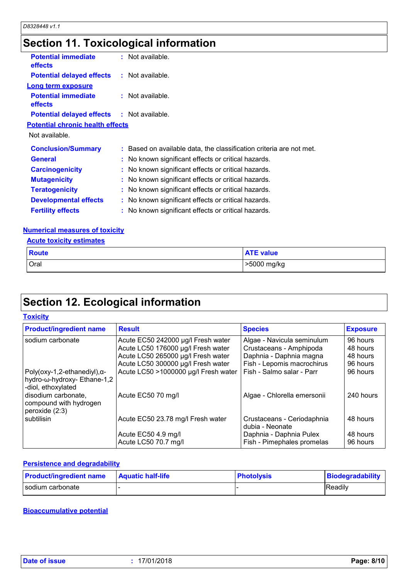# **Section 11. Toxicological information**

| <b>Potential immediate</b><br><b>effects</b>      | : Not available.                                                    |
|---------------------------------------------------|---------------------------------------------------------------------|
| <b>Potential delayed effects : Not available.</b> |                                                                     |
| <b>Long term exposure</b>                         |                                                                     |
| <b>Potential immediate</b><br>effects             | $:$ Not available.                                                  |
| <b>Potential delayed effects : Not available.</b> |                                                                     |
| <b>Potential chronic health effects</b>           |                                                                     |
| Not available.                                    |                                                                     |
| <b>Conclusion/Summary</b>                         | : Based on available data, the classification criteria are not met. |
| <b>General</b>                                    | : No known significant effects or critical hazards.                 |
| <b>Carcinogenicity</b>                            | : No known significant effects or critical hazards.                 |
| <b>Mutagenicity</b>                               | : No known significant effects or critical hazards.                 |
| <b>Teratogenicity</b>                             | : No known significant effects or critical hazards.                 |
| <b>Developmental effects</b>                      | : No known significant effects or critical hazards.                 |
| <b>Fertility effects</b>                          | : No known significant effects or critical hazards.                 |

#### **Numerical measures of toxicity**

| <b>Acute toxicity estimates</b> |                  |
|---------------------------------|------------------|
| Route                           | <b>ATE value</b> |
| <b>Oral</b>                     | >5000 mg/kg      |

# **Section 12. Ecological information**

#### **Toxicity**

| <b>Product/ingredient name</b>                                                            | <b>Result</b>                        | <b>Species</b>                                | <b>Exposure</b> |
|-------------------------------------------------------------------------------------------|--------------------------------------|-----------------------------------------------|-----------------|
| sodium carbonate                                                                          | Acute EC50 242000 µg/l Fresh water   | Algae - Navicula seminulum                    | 96 hours        |
|                                                                                           | Acute LC50 176000 µg/l Fresh water   | Crustaceans - Amphipoda                       | 48 hours        |
|                                                                                           | Acute LC50 265000 µg/l Fresh water   | Daphnia - Daphnia magna                       | 48 hours        |
|                                                                                           | Acute LC50 300000 µg/l Fresh water   | Fish - Lepomis macrochirus                    | 96 hours        |
| Poly(oxy-1,2-ethanediyl), $\alpha$ -<br>hydro-ω-hydroxy- Ethane-1,2<br>-diol, ethoxylated | Acute LC50 >1000000 µg/l Fresh water | Fish - Salmo salar - Parr                     | 96 hours        |
| disodium carbonate,<br>compound with hydrogen<br>peroxide (2:3)                           | Acute EC50 70 mg/l                   | Algae - Chlorella emersonii                   | 240 hours       |
| subtilisin                                                                                | Acute EC50 23.78 mg/l Fresh water    | Crustaceans - Ceriodaphnia<br>dubia - Neonate | 48 hours        |
|                                                                                           | Acute EC50 4.9 mg/l                  | Daphnia - Daphnia Pulex                       | 48 hours        |
|                                                                                           | Acute LC50 70.7 mg/l                 | Fish - Pimephales promelas                    | 96 hours        |

#### **Persistence and degradability**

| <b>Product/ingredient name</b> | <b>Aquatic half-life</b> | <b>Photolysis</b> | Biodegradability |
|--------------------------------|--------------------------|-------------------|------------------|
| I sodium carbonate             |                          |                   | <b>Readily</b>   |

#### **Bioaccumulative potential**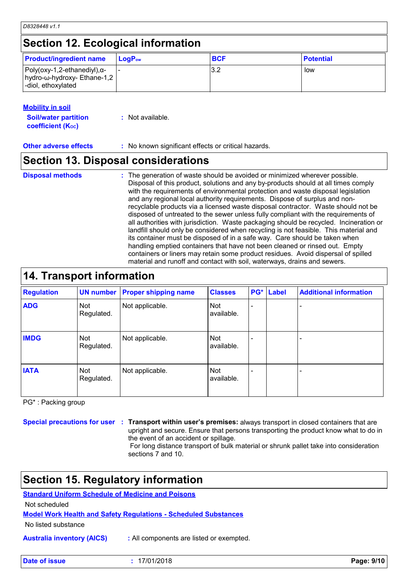#### **Mobility in soil**

| <b>Soil/water partition</b> | $:$ Not available. |
|-----------------------------|--------------------|
| <b>coefficient (Koc)</b>    |                    |

**Other adverse effects** : No known significant effects or critical hazards.

### **Section 13. Disposal considerations**

#### **Disposal methods :**

The generation of waste should be avoided or minimized wherever possible. Disposal of this product, solutions and any by-products should at all times comply with the requirements of environmental protection and waste disposal legislation and any regional local authority requirements. Dispose of surplus and nonrecyclable products via a licensed waste disposal contractor. Waste should not be disposed of untreated to the sewer unless fully compliant with the requirements of all authorities with jurisdiction. Waste packaging should be recycled. Incineration or landfill should only be considered when recycling is not feasible. This material and its container must be disposed of in a safe way. Care should be taken when handling emptied containers that have not been cleaned or rinsed out. Empty containers or liners may retain some product residues. Avoid dispersal of spilled material and runoff and contact with soil, waterways, drains and sewers.

### **14. Transport information**

| <b>Regulation</b> |                          | <b>UN number Proper shipping name</b> | <b>Classes</b>    | PG* | <b>Label</b> | <b>Additional information</b> |
|-------------------|--------------------------|---------------------------------------|-------------------|-----|--------------|-------------------------------|
| <b>ADG</b>        | <b>Not</b><br>Regulated. | Not applicable.                       | Not<br>available. |     |              |                               |
| <b>IMDG</b>       | Not<br>Regulated.        | Not applicable.                       | Not<br>available. |     |              |                               |
| <b>IATA</b>       | Not<br>Regulated.        | Not applicable.                       | Not<br>available. |     |              |                               |

PG\* : Packing group

**Special precautions for user Transport within user's premises:** always transport in closed containers that are **:** upright and secure. Ensure that persons transporting the product know what to do in

the event of an accident or spillage. For long distance transport of bulk material or shrunk pallet take into consideration

sections 7 and 10.

### **Section 15. Regulatory information**

**Standard Uniform Schedule of Medicine and Poisons**

Not scheduled

**Model Work Health and Safety Regulations - Scheduled Substances**

No listed substance

**Australia inventory (AICS) :** All components are listed or exempted.

**Date of issue :** 17/01/2018 **Page: 9/10**